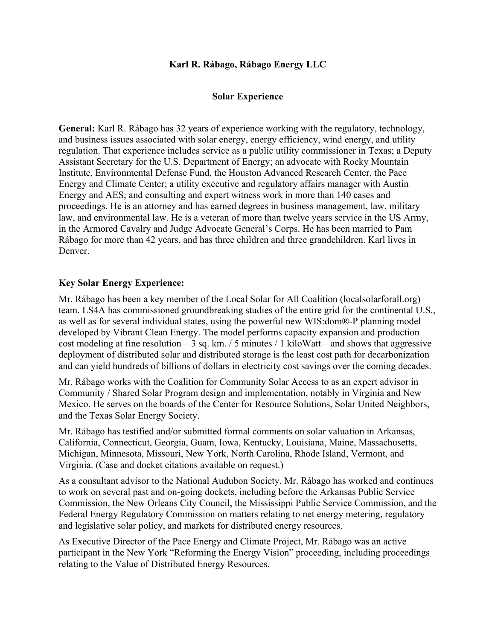## **Karl R. Rábago, Rábago Energy LLC**

## **Solar Experience**

**General:** Karl R. Rábago has 32 years of experience working with the regulatory, technology, and business issues associated with solar energy, energy efficiency, wind energy, and utility regulation. That experience includes service as a public utility commissioner in Texas; a Deputy Assistant Secretary for the U.S. Department of Energy; an advocate with Rocky Mountain Institute, Environmental Defense Fund, the Houston Advanced Research Center, the Pace Energy and Climate Center; a utility executive and regulatory affairs manager with Austin Energy and AES; and consulting and expert witness work in more than 140 cases and proceedings. He is an attorney and has earned degrees in business management, law, military law, and environmental law. He is a veteran of more than twelve years service in the US Army, in the Armored Cavalry and Judge Advocate General's Corps. He has been married to Pam Rábago for more than 42 years, and has three children and three grandchildren. Karl lives in Denver.

## **Key Solar Energy Experience:**

Mr. Rábago has been a key member of the Local Solar for All Coalition (localsolarforall.org) team. LS4A has commissioned groundbreaking studies of the entire grid for the continental U.S., as well as for several individual states, using the powerful new WIS:dom®-P planning model developed by Vibrant Clean Energy. The model performs capacity expansion and production cost modeling at fine resolution—3 sq. km. / 5 minutes / 1 kiloWatt—and shows that aggressive deployment of distributed solar and distributed storage is the least cost path for decarbonization and can yield hundreds of billions of dollars in electricity cost savings over the coming decades.

Mr. Rábago works with the Coalition for Community Solar Access to as an expert advisor in Community / Shared Solar Program design and implementation, notably in Virginia and New Mexico. He serves on the boards of the Center for Resource Solutions, Solar United Neighbors, and the Texas Solar Energy Society.

Mr. Rábago has testified and/or submitted formal comments on solar valuation in Arkansas, California, Connecticut, Georgia, Guam, Iowa, Kentucky, Louisiana, Maine, Massachusetts, Michigan, Minnesota, Missouri, New York, North Carolina, Rhode Island, Vermont, and Virginia. (Case and docket citations available on request.)

As a consultant advisor to the National Audubon Society, Mr. Rábago has worked and continues to work on several past and on-going dockets, including before the Arkansas Public Service Commission, the New Orleans City Council, the Mississippi Public Service Commission, and the Federal Energy Regulatory Commission on matters relating to net energy metering, regulatory and legislative solar policy, and markets for distributed energy resources.

As Executive Director of the Pace Energy and Climate Project, Mr. Rábago was an active participant in the New York "Reforming the Energy Vision" proceeding, including proceedings relating to the Value of Distributed Energy Resources.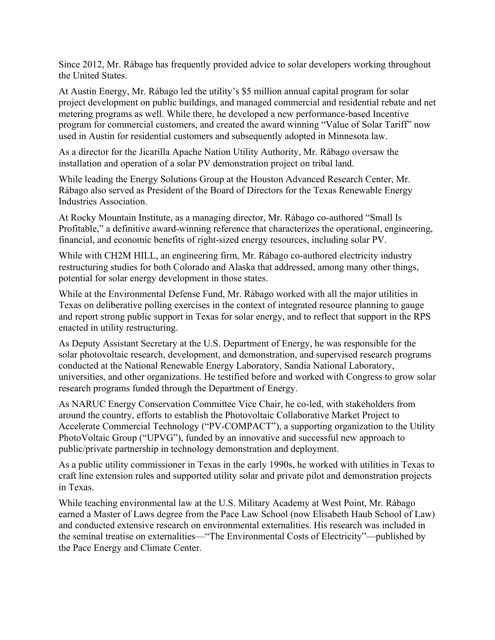Since 2012, Mr. Rábago has frequently provided advice to solar developers working throughout the United States.

At Austin Energy, Mr. Rábago led the utility's \$5 million annual capital program for solar project development on public buildings, and managed commercial and residential rebate and net metering programs as well. While there, he developed a new performance-based Incentive program for commercial customers, and created the award winning "Value of Solar Tariff" now used in Austin for residential customers and subsequently adopted in Minnesota law.

As a director for the Jicarilla Apache Nation Utility Authority, Mr. Rábago oversaw the installation and operation of a solar PV demonstration project on tribal land.

While leading the Energy Solutions Group at the Houston Advanced Research Center, Mr. Rábago also served as President of the Board of Directors for the Texas Renewable Energy Industries Association.

At Rocky Mountain Institute, as a managing director, Mr. Rábago co-authored "Small Is Profitable," a definitive award-winning reference that characterizes the operational, engineering, financial, and economic benefits of right-sized energy resources, including solar PV.

While with CH2M HILL, an engineering firm, Mr. Rábago co-authored electricity industry restructuring studies for both Colorado and Alaska that addressed, among many other things, potential for solar energy development in those states.

While at the Environmental Defense Fund, Mr. Rábago worked with all the major utilities in Texas on deliberative polling exercises in the context of integrated resource planning to gauge and report strong public support in Texas for solar energy, and to reflect that support in the RPS enacted in utility restructuring.

As Deputy Assistant Secretary at the U.S. Department of Energy, he was responsible for the solar photovoltaic research, development, and demonstration, and supervised research programs conducted at the National Renewable Energy Laboratory, Sandia National Laboratory, universities, and other organizations. He testified before and worked with Congress to grow solar research programs funded through the Department of Energy.

As NARUC Energy Conservation Committee Vice Chair, he co-led, with stakeholders from around the country, efforts to establish the Photovoltaic Collaborative Market Project to Accelerate Commercial Technology ("PV-COMPACT"), a supporting organization to the Utility PhotoVoltaic Group ("UPVG"), funded by an innovative and successful new approach to public/private partnership in technology demonstration and deployment.

As a public utility commissioner in Texas in the early 1990s, he worked with utilities in Texas to craft line extension rules and supported utility solar and private pilot and demonstration projects in Texas.

While teaching environmental law at the U.S. Military Academy at West Point, Mr. Rábago earned a Master of Laws degree from the Pace Law School (now Elisabeth Haub School of Law) and conducted extensive research on environmental externalities. His research was included in the seminal treatise on externalities—"The Environmental Costs of Electricity"—published by the Pace Energy and Climate Center.